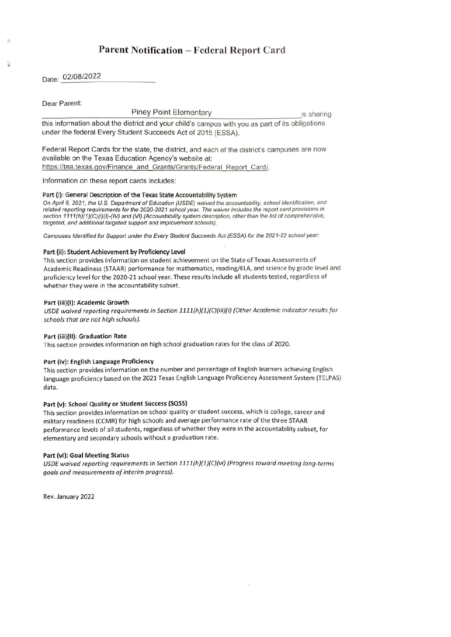# Parent Notification - Federal Report Card

Date: 02/08/2022

Dear Parent:

Piney Point Elementary **is sharing** is sharing

this information about the district and your child's campus with you as part of its obligations under the federal Every Student Succeeds Act of 2015 (ESSA).

Federal Report Cards for the state, the district, and each of the district's campuses are now available on the Texas Education Agency's website at: https://tea.texas.gov/Finance and Grants/Grants/Federal Report Card/.

Information on these report cards includes:

# Part (i): General Description of the Texas State Accountability System

On April 6, 2021, the U.S. Department of Education (USDE) waived the accountability, school identification, and related reporting requirements for the 2020-2021 school year. The waiver includes the report card provisions in section 1111(h)(1)(C)(i)(l)-(IV) and (VI) (Accountability system description, other than the list of comprehensive, targeted, and additional targeted support and improvement schools).

Campuses Identified for Support under the Every Student Succeeds Act (ESSA) for the 2021-22 school year:

# Part (ii): Student Achievement by Proficiency Level

This section provides information on student achievement on the State of Texas Assessments of Academic Readiness (STAR) performance for mathematics, reading/ELA, and science by grade level and proficiency level for the 2020-21 school year. These results include all students tested, regardless of whether they were in the accountability subset.

# Part (iii)(I): Academic Growth

USDE waived reporting requirements in Section 1111(h)(1)(C)(iii)(I) (Other Academic indicator results for schools that are not high schools).

# Part (iii)(II): Graduation Rate

This section provides information on high school graduation rates for the class of 2020.

# Part (iv): English Language Proficiency

This section provides information on the number and percentage of English learners achieving English language proficiency based on the 2021 Texas English Language Proficiency Assessment System (TELPAS) data.

# Part (v): School Quality or Student Success (SQSS)

This section provides information on school quality or student success, which is college, career and military readiness (CCMR) for high schools and average performance rate of the three STAAR performance levels of all students, regardless of whether they were in the accountability subset, for elementary and secondary schools without a graduation rate.

# Part (vi): Goal Meeting Status

USDE waived reporting requirements in Section 1111(h)(1)(C)(vi) (Progress toward meeting long-terms goals and measurements of interim progress).

Rev. January 2022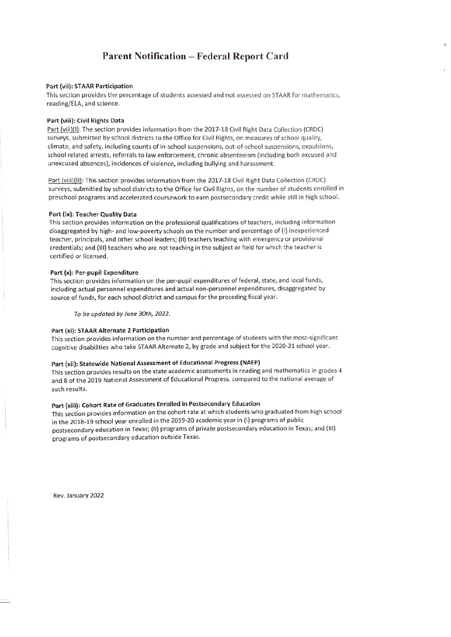# Parent Notification - Federal Report Card

#### Part (vi): STAR Participation

This section provides the percentage of students assessed and not assessed on STAR for mathematics, reading/ELA, and science.

#### Part (vili): Civil Rights Data

Part (vili)(I): The section provides information from the 2017-18 Civil Right Data Collection (CRDC) surveys, submitted by school districts to the Office for Civil Rights, on measures of school quality, climate, and safety, including counts of in-school suspensions, out-of-school suspensions, expulsions, school related arrests, referrals to law enforcement, chronic absenteeism (including both excused and unexcused absences), incidences of violence, including bullying and harassment.

Part (vili)(Il): This section provides information from the 2017-18 Civil Right Data Collection (CRDC) surveys, submitted by school districts to the Office for Civil Rights, on the number of students enrolled in preschool programs and accelerated coursework to earn postsecondary credit while still in high school.

#### Part (ix): Teacher Quality Data

This section provides information on the professional qualifications of teachers, including information disaggregated by high- and low-poverty schools on the number and percentage of (I) inexperienced teacher, principals, and other school leaders; (I) teachers teaching with emergency or provisional credentials; and (Ill) teachers who are not teaching in the subject or field for which the teacher is certified or licensed.

#### Part (x): Per-pupil Expenditure

This section provides information on the per-pupil expenditures of federal, state, and local funds, including actual personnel expenditures and actual non-personnel expenditures, disaggregated by source of funds, for each school district and campus for the preceding fiscal year.

To be updated by June 30th, 2022.

#### Part (xi): STAR Alternate 2 Participation

This section provides information on the number and percentage of students with the most-significant cognitive disabilities who take STAR Alternate 2, by grade and subject for the 2020-21 school year.

### Part (xii): Statewide National Assessment of Educational Progress (NAEP)

This section provides results on the state academic assessments in reading and mathematics in grades 4 and 8 of the 2019 National Assessment of Educational Progress, compared to the national average of such results.

# Part (xiii): Cohort Rate of Graduates Enrolled in Postsecondary Education

This section provides information on the cohort rate at which students who graduated from high school in the 2018-19 school year enrolled in the 2019-20 academic year in (I) programs of public postsecondary education in Texas; (11) programs of private postsecondary education in Texas; and (IlI) programs of postsecondary education outside Texas.

Rev. January 2022